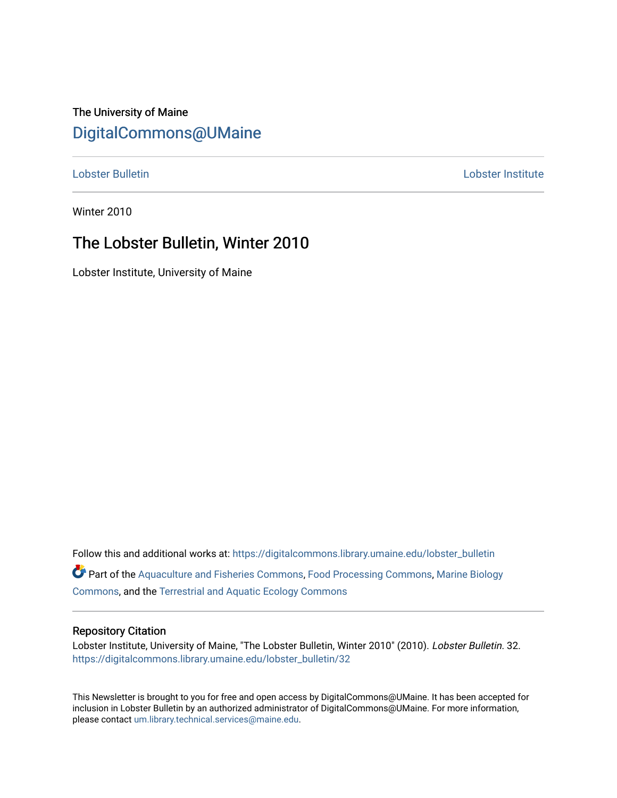# The University of Maine [DigitalCommons@UMaine](https://digitalcommons.library.umaine.edu/)

[Lobster Bulletin](https://digitalcommons.library.umaine.edu/lobster_bulletin) [Lobster Institute](https://digitalcommons.library.umaine.edu/lobster) 

Winter 2010

# The Lobster Bulletin, Winter 2010

Lobster Institute, University of Maine

Follow this and additional works at: [https://digitalcommons.library.umaine.edu/lobster\\_bulletin](https://digitalcommons.library.umaine.edu/lobster_bulletin?utm_source=digitalcommons.library.umaine.edu%2Flobster_bulletin%2F32&utm_medium=PDF&utm_campaign=PDFCoverPages) Part of the [Aquaculture and Fisheries Commons](http://network.bepress.com/hgg/discipline/78?utm_source=digitalcommons.library.umaine.edu%2Flobster_bulletin%2F32&utm_medium=PDF&utm_campaign=PDFCoverPages), [Food Processing Commons,](http://network.bepress.com/hgg/discipline/85?utm_source=digitalcommons.library.umaine.edu%2Flobster_bulletin%2F32&utm_medium=PDF&utm_campaign=PDFCoverPages) [Marine Biology](http://network.bepress.com/hgg/discipline/1126?utm_source=digitalcommons.library.umaine.edu%2Flobster_bulletin%2F32&utm_medium=PDF&utm_campaign=PDFCoverPages) [Commons](http://network.bepress.com/hgg/discipline/1126?utm_source=digitalcommons.library.umaine.edu%2Flobster_bulletin%2F32&utm_medium=PDF&utm_campaign=PDFCoverPages), and the [Terrestrial and Aquatic Ecology Commons](http://network.bepress.com/hgg/discipline/20?utm_source=digitalcommons.library.umaine.edu%2Flobster_bulletin%2F32&utm_medium=PDF&utm_campaign=PDFCoverPages) 

### Repository Citation

Lobster Institute, University of Maine, "The Lobster Bulletin, Winter 2010" (2010). Lobster Bulletin. 32. [https://digitalcommons.library.umaine.edu/lobster\\_bulletin/32](https://digitalcommons.library.umaine.edu/lobster_bulletin/32?utm_source=digitalcommons.library.umaine.edu%2Flobster_bulletin%2F32&utm_medium=PDF&utm_campaign=PDFCoverPages) 

This Newsletter is brought to you for free and open access by DigitalCommons@UMaine. It has been accepted for inclusion in Lobster Bulletin by an authorized administrator of DigitalCommons@UMaine. For more information, please contact [um.library.technical.services@maine.edu.](mailto:um.library.technical.services@maine.edu)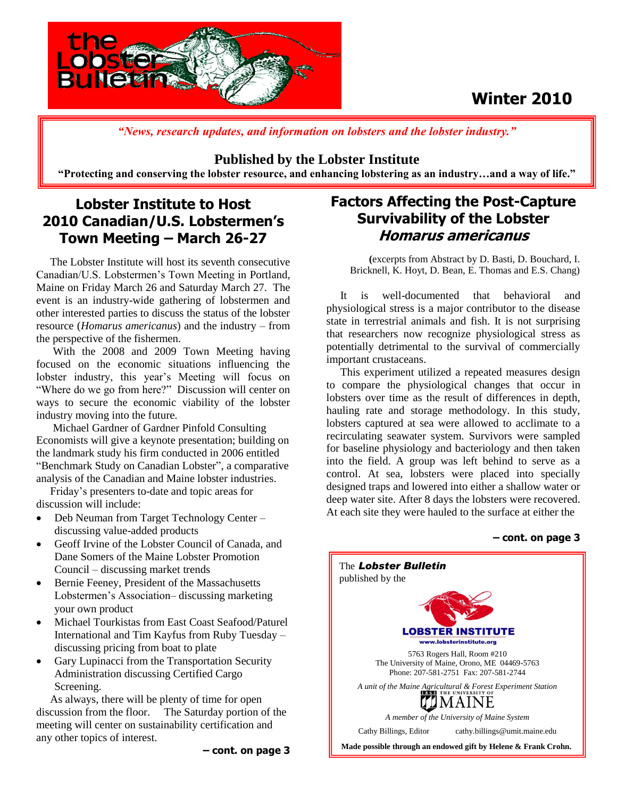

# **Winter 2010**

*"News, research updates, and information on lobsters and the lobster industry."*

### **Published by the Lobster Institute**

**"Protecting and conserving the lobster resource, and enhancing lobstering as an industry…and a way of life."**

# **Lobster Institute to Host 2010 Canadian/U.S. Lobstermen's Town Meeting – March 26-27**

 The Lobster Institute will host its seventh consecutive Canadian/U.S. Lobstermen's Town Meeting in Portland, Maine on Friday March 26 and Saturday March 27. The event is an industry-wide gathering of lobstermen and other interested parties to discuss the status of the lobster resource (*Homarus americanus*) and the industry – from the perspective of the fishermen.

 With the 2008 and 2009 Town Meeting having focused on the economic situations influencing the lobster industry, this year's Meeting will focus on "Where do we go from here?" Discussion will center on ways to secure the economic viability of the lobster industry moving into the future.

 Michael Gardner of Gardner Pinfold Consulting Economists will give a keynote presentation; building on the landmark study his firm conducted in 2006 entitled "Benchmark Study on Canadian Lobster", a comparative analysis of the Canadian and Maine lobster industries.

 Friday's presenters to-date and topic areas for discussion will include:

- Deb Neuman from Target Technology Center discussing value-added products
- Geoff Irvine of the Lobster Council of Canada, and Dane Somers of the Maine Lobster Promotion Council – discussing market trends
- Bernie Feeney, President of the Massachusetts Lobstermen's Association– discussing marketing your own product
- Michael Tourkistas from East Coast Seafood/Paturel International and Tim Kayfus from Ruby Tuesday – discussing pricing from boat to plate
- Gary Lupinacci from the Transportation Security Administration discussing Certified Cargo Screening.

 As always, there will be plenty of time for open discussion from the floor. The Saturday portion of the meeting will center on sustainability certification and any other topics of interest.

# **Factors Affecting the Post-Capture Survivability of the Lobster Homarus americanus**

**(**excerpts from Abstract by D. Basti, D. Bouchard, I. Bricknell, K. Hoyt, D. Bean, E. Thomas and E.S. Chang)

 It is well-documented that behavioral and physiological stress is a major contributor to the disease state in terrestrial animals and fish. It is not surprising that researchers now recognize physiological stress as potentially detrimental to the survival of commercially important crustaceans.

 This experiment utilized a repeated measures design to compare the physiological changes that occur in lobsters over time as the result of differences in depth, hauling rate and storage methodology. In this study, lobsters captured at sea were allowed to acclimate to a recirculating seawater system. Survivors were sampled for baseline physiology and bacteriology and then taken into the field. A group was left behind to serve as a control. At sea, lobsters were placed into specially designed traps and lowered into either a shallow water or deep water site. After 8 days the lobsters were recovered. At each site they were hauled to the surface at either the

### **– cont. on page 3**

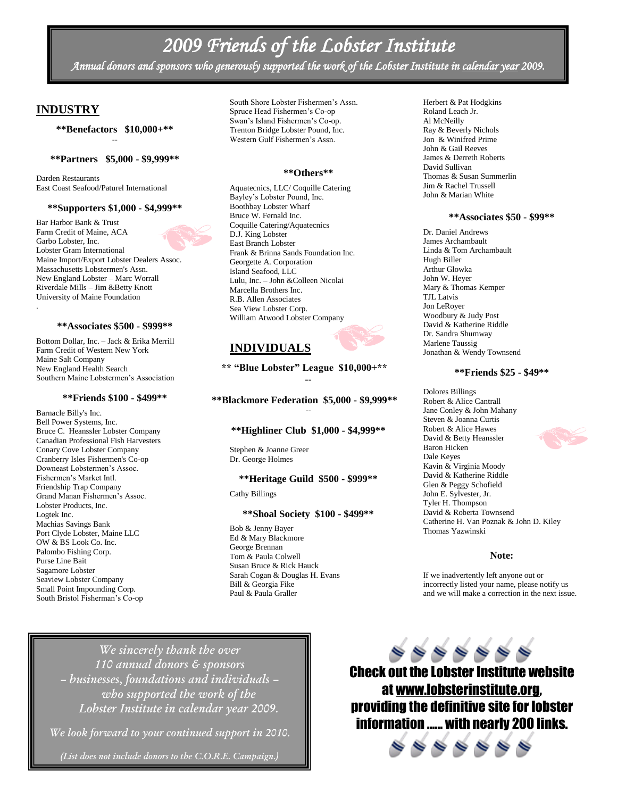# *2009 Friends of the Lobster Institute*

*Annual donors and sponsors who generously supported the work of the Lobster Institute in calendar year 2009.* 

### **INDUSTRY**

**\*\*Benefactors \$10,000+\*\*** --

#### **\*\*Partners \$5,000 - \$9,999\*\***

Darden Restaurants East Coast Seafood/Paturel International

#### **\*\*Supporters \$1,000 - \$4,999\*\***

Bar Harbor Bank & Trust Farm Credit of Maine, ACA Garbo Lobster, Inc. Lobster Gram International Maine Import/Export Lobster Dealers Assoc. Massachusetts Lobstermen's Assn. New England Lobster – Marc Worrall Riverdale Mills – Jim &Betty Knott University of Maine Foundation .

#### **\*\*Associates \$500 - \$999\*\***

Bottom Dollar, Inc. – Jack & Erika Merrill Farm Credit of Western New York Maine Salt Company New England Health Search Southern Maine Lobstermen's Association

### **\*\*Friends \$100 - \$499\*\***

Barnacle Billy's Inc. Bell Power Systems, Inc. Bruce C. Heanssler Lobster Company Canadian Professional Fish Harvesters Conary Cove Lobster Company Cranberry Isles Fishermen's Co-op Downeast Lobstermen's Assoc. Fishermen's Market Intl. Friendship Trap Company Grand Manan Fishermen's Assoc. Lobster Products, Inc. Logtek Inc. Machias Savings Bank Port Clyde Lobster, Maine LLC OW & BS Look Co. Inc. Palombo Fishing Corp. Purse Line Bait Sagamore Lobster Seaview Lobster Company Small Point Impounding Corp. South Bristol Fisherman's Co-op

South Shore Lobster Fishermen's Assn. Spruce Head Fishermen's Co-op Swan's Island Fishermen's Co-op. Trenton Bridge Lobster Pound, Inc. Western Gulf Fishermen's Assn.

#### **\*\*Others\*\***

Aquatecnics, LLC/ Coquille Catering Bayley's Lobster Pound, Inc. Boothbay Lobster Wharf Bruce W. Fernald Inc. Coquille Catering/Aquatecnics D.J. King Lobster East Branch Lobster Frank & Brinna Sands Foundation Inc. Georgette A. Corporation Island Seafood, LLC Lulu, Inc. – John &Colleen Nicolai Marcella Brothers Inc. R.B. Allen Associates Sea View Lobster Corp. William Atwood Lobster Company

### **INDIVIDUALS**

**\*\* "Blue Lobster" League \$10,000+\*\* --**

**\*\*Blackmore Federation \$5,000 - \$9,999\*\*** --

### **\*\*Highliner Club \$1,000 - \$4,999\*\***

Stephen & Joanne Greer Dr. George Holmes

#### **\*\*Heritage Guild \$500 - \$999\*\***

Cathy Billings

#### **\*\*Shoal Society \$100 - \$499\*\***

Bob & Jenny Bayer Ed & Mary Blackmore George Brennan Tom & Paula Colwell Susan Bruce & Rick Hauck Sarah Cogan & Douglas H. Evans Bill & Georgia Fike Paul & Paula Graller

Herbert & Pat Hodgkins Roland Leach Jr. Al McNeilly Ray & Beverly Nichols Jon & Winifred Prime John & Gail Reeves James & Derreth Roberts David Sullivan Thomas & Susan Summerlin Jim & Rachel Trussell John & Marian White

#### **\*\*Associates \$50 - \$99\*\***

Dr. Daniel Andrews James Archambault Linda & Tom Archambault Hugh Biller Arthur Glowka John W. Heyer Mary & Thomas Kemper TJL Latvis Jon LeRoyer Woodbury & Judy Post David & Katherine Riddle Dr. Sandra Shumway Marlene Taussig Jonathan & Wendy Townsend

### **\*\*Friends \$25 - \$49\*\***

Dolores Billings Robert & Alice Cantrall Jane Conley & John Mahany Steven & Joanna Curtis Robert & Alice Hawes David & Betty Heanssler Baron Hicken Dale Keyes Kavin & Virginia Moody David & Katherine Riddle Glen & Peggy Schofield John E. Sylvester, Jr. Tyler H. Thompson David & Roberta Townsend Catherine H. Van Poznak & John D. Kiley Thomas Yazwinski

#### **Note:**

If we inadvertently left anyone out or incorrectly listed your name, please notify us and we will make a correction in the next issue.

*We sincerely thank the over 110 annual donors & sponsors – businesses, foundations and individuals – who supported the work of the Lobster Institute in calendar year 2009.*

*We look forward to your continued support in 2010.*

*(List does not include donors to the C.O.R.E. Campaign.)*

 $\begin{array}{ccc} \circ & \circ & \circ & \circ & \circ \end{array}$ Check out the Lobster Institute website at [www.lobsterinstitute.org,](http://www.lobsterinstitute.org/) providing the definitive site for lobster information …… with nearly 200 links.



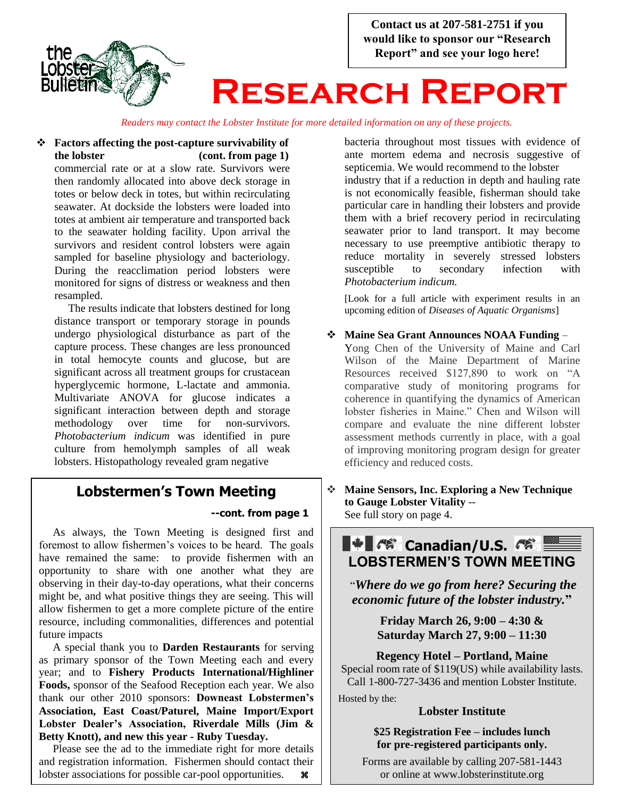

*Readers may contact the Lobster Institute for more detailed information on any of these projects.*

### **Factors affecting the post-capture survivability of the lobster (cont. from page 1)**

commercial rate or at a slow rate. Survivors were then randomly allocated into above deck storage in totes or below deck in totes, but within recirculating seawater. At dockside the lobsters were loaded into totes at ambient air temperature and transported back to the seawater holding facility. Upon arrival the survivors and resident control lobsters were again sampled for baseline physiology and bacteriology. During the reacclimation period lobsters were monitored for signs of distress or weakness and then resampled.

 The results indicate that lobsters destined for long distance transport or temporary storage in pounds undergo physiological disturbance as part of the capture process. These changes are less pronounced in total hemocyte counts and glucose, but are significant across all treatment groups for crustacean hyperglycemic hormone, L-lactate and ammonia. Multivariate ANOVA for glucose indicates a significant interaction between depth and storage methodology over time for non-survivors. *Photobacterium indicum* was identified in pure culture from hemolymph samples of all weak lobsters. Histopathology revealed gram negative

## **Lobstermen's Town Meeting**

### **--cont. from page 1**

 As always, the Town Meeting is designed first and foremost to allow fishermen's voices to be heard. The goals have remained the same: to provide fishermen with an opportunity to share with one another what they are observing in their day-to-day operations, what their concerns might be, and what positive things they are seeing. This will allow fishermen to get a more complete picture of the entire resource, including commonalities, differences and potential future impacts

 A special thank you to **Darden Restaurants** for serving as primary sponsor of the Town Meeting each and every year; and to **Fishery Products International/Highliner Foods,** sponsor of the Seafood Reception each year. We also thank our other 2010 sponsors: **Downeast Lobstermen's Association, East Coast/Paturel, Maine Import/Export Lobster Dealer's Association, Riverdale Mills (Jim & Betty Knott), and new this year - Ruby Tuesday.**

 Please see the ad to the immediate right for more details and registration information. Fishermen should contact their lobster associations for possible car-pool opportunities.  $\bullet$ 

bacteria throughout most tissues with evidence of ante mortem edema and necrosis suggestive of septicemia. We would recommend to the lobster industry that if a reduction in depth and hauling rate is not economically feasible, fisherman should take particular care in handling their lobsters and provide them with a brief recovery period in recirculating seawater prior to land transport. It may become necessary to use preemptive antibiotic therapy to reduce mortality in severely stressed lobsters susceptible to secondary infection with *Photobacterium indicum.*

[Look for a full article with experiment results in an upcoming edition of *Diseases of Aquatic Organisms*]

**Maine Sea Grant Announces NOAA Funding** –

Yong Chen of the University of Maine and Carl Wilson of the Maine Department of Marine Resources received \$127,890 to work on "A comparative study of monitoring programs for coherence in quantifying the dynamics of American lobster fisheries in Maine." Chen and Wilson will compare and evaluate the nine different lobster assessment methods currently in place, with a goal of improving monitoring program design for greater efficiency and reduced costs.

 **Maine Sensors, Inc. Exploring a New Technique to Gauge Lobster Vitality** -- See full story on page 4.

**L\*L® Canadian/U.S. . 答 LOBSTERMEN'S TOWN MEETING**

"*Where do we go from here? Securing the economic future of the lobster industry.***"**

> **Friday March 26, 9:00 – 4:30 & Saturday March 27, 9:00 – 11:30**

**Regency Hotel – Portland, Maine** Special room rate of \$119(US) while availability lasts. Call 1-800-727-3436 and mention Lobster Institute.

Hosted by the:

### **Lobster Institute**

**\$25 Registration Fee – includes lunch for pre-registered participants only.**

Forms are available by calling 207-581-1443 or online at www.lobsterinstitute.org